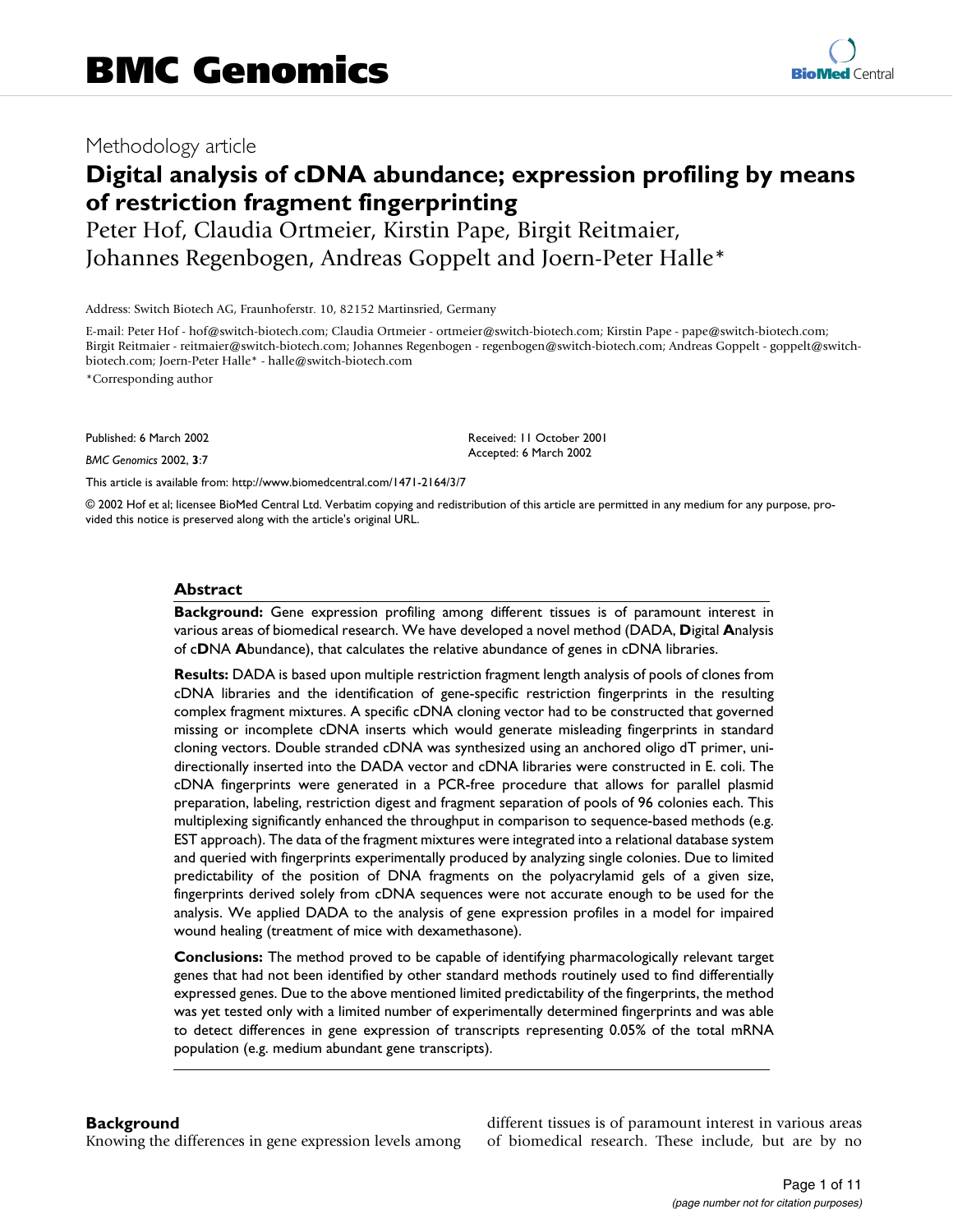## Methodology article

# **Digital analysis of cDNA abundance; expression profiling by means of restriction fragment fingerprinting**

Peter Hof, Claudia Ortmeier, Kirstin Pape, Birgit Reitmaier, Johannes Regenbogen, Andreas Goppelt and Joern-Peter Halle\*

Address: Switch Biotech AG, Fraunhoferstr. 10, 82152 Martinsried, Germany

E-mail: Peter Hof - hof@switch-biotech.com; Claudia Ortmeier - ortmeier@switch-biotech.com; Kirstin Pape - pape@switch-biotech.com; Birgit Reitmaier - reitmaier@switch-biotech.com; Johannes Regenbogen - regenbogen@switch-biotech.com; Andreas Goppelt - goppelt@switchbiotech.com; Joern-Peter Halle\* - halle@switch-biotech.com

> Received: 11 October 2001 Accepted: 6 March 2002

\*Corresponding author

Published: 6 March 2002

*BMC Genomics* 2002, **3**:7

[This article is available from: http://www.biomedcentral.com/1471-2164/3/7](http://www.biomedcentral.com/1471-2164/3/7)

© 2002 Hof et al; licensee BioMed Central Ltd. Verbatim copying and redistribution of this article are permitted in any medium for any purpose, provided this notice is preserved along with the article's original URL.

#### **Abstract**

**Background:** Gene expression profiling among different tissues is of paramount interest in various areas of biomedical research. We have developed a novel method (DADA, **D**igital **A**nalysis of c**D**NA **A**bundance), that calculates the relative abundance of genes in cDNA libraries.

**Results:** DADA is based upon multiple restriction fragment length analysis of pools of clones from cDNA libraries and the identification of gene-specific restriction fingerprints in the resulting complex fragment mixtures. A specific cDNA cloning vector had to be constructed that governed missing or incomplete cDNA inserts which would generate misleading fingerprints in standard cloning vectors. Double stranded cDNA was synthesized using an anchored oligo dT primer, unidirectionally inserted into the DADA vector and cDNA libraries were constructed in E. coli. The cDNA fingerprints were generated in a PCR-free procedure that allows for parallel plasmid preparation, labeling, restriction digest and fragment separation of pools of 96 colonies each. This multiplexing significantly enhanced the throughput in comparison to sequence-based methods (e.g. EST approach). The data of the fragment mixtures were integrated into a relational database system and queried with fingerprints experimentally produced by analyzing single colonies. Due to limited predictability of the position of DNA fragments on the polyacrylamid gels of a given size, fingerprints derived solely from cDNA sequences were not accurate enough to be used for the analysis. We applied DADA to the analysis of gene expression profiles in a model for impaired wound healing (treatment of mice with dexamethasone).

**Conclusions:** The method proved to be capable of identifying pharmacologically relevant target genes that had not been identified by other standard methods routinely used to find differentially expressed genes. Due to the above mentioned limited predictability of the fingerprints, the method was yet tested only with a limited number of experimentally determined fingerprints and was able to detect differences in gene expression of transcripts representing 0.05% of the total mRNA population (e.g. medium abundant gene transcripts).

#### **Background**

Knowing the differences in gene expression levels among

different tissues is of paramount interest in various areas of biomedical research. These include, but are by no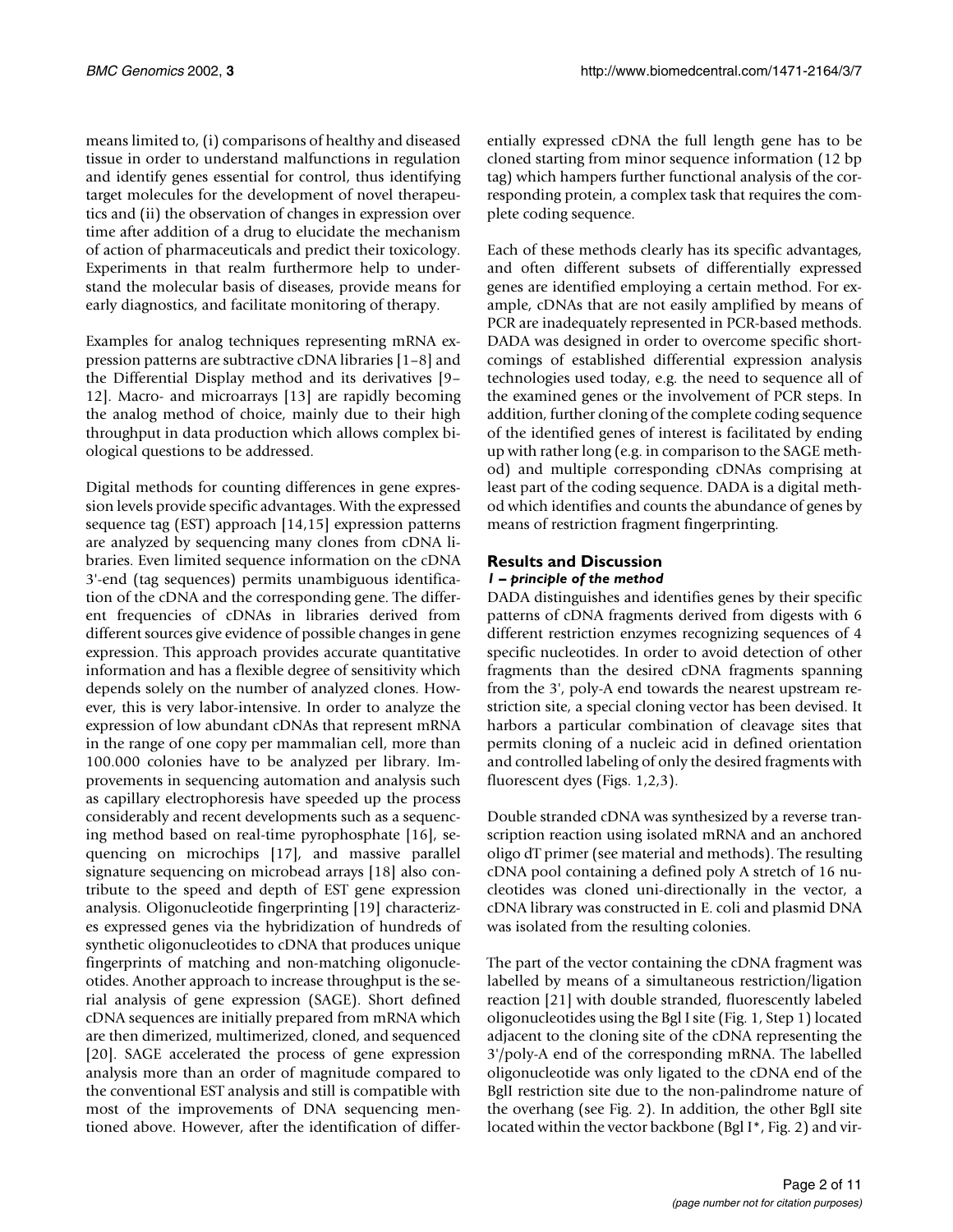means limited to, (i) comparisons of healthy and diseased tissue in order to understand malfunctions in regulation and identify genes essential for control, thus identifying target molecules for the development of novel therapeutics and (ii) the observation of changes in expression over time after addition of a drug to elucidate the mechanism of action of pharmaceuticals and predict their toxicology. Experiments in that realm furthermore help to understand the molecular basis of diseases, provide means for early diagnostics, and facilitate monitoring of therapy.

Examples for analog techniques representing mRNA expression patterns are subtractive cDNA libraries [\[1–](#page-10-0)[8](#page-10-1)] and the Differential Display method and its derivatives [\[9–](#page-10-2) [12\]](#page-10-3). Macro- and microarrays [[13\]](#page-10-4) are rapidly becoming the analog method of choice, mainly due to their high throughput in data production which allows complex biological questions to be addressed.

Digital methods for counting differences in gene expression levels provide specific advantages. With the expressed sequence tag (EST) approach [\[14](#page-10-5),[15](#page-10-6)] expression patterns are analyzed by sequencing many clones from cDNA libraries. Even limited sequence information on the cDNA 3'-end (tag sequences) permits unambiguous identification of the cDNA and the corresponding gene. The different frequencies of cDNAs in libraries derived from different sources give evidence of possible changes in gene expression. This approach provides accurate quantitative information and has a flexible degree of sensitivity which depends solely on the number of analyzed clones. However, this is very labor-intensive. In order to analyze the expression of low abundant cDNAs that represent mRNA in the range of one copy per mammalian cell, more than 100.000 colonies have to be analyzed per library. Improvements in sequencing automation and analysis such as capillary electrophoresis have speeded up the process considerably and recent developments such as a sequencing method based on real-time pyrophosphate [\[16](#page-10-7)], sequencing on microchips [\[17](#page-10-8)], and massive parallel signature sequencing on microbead arrays [\[18](#page-10-9)] also contribute to the speed and depth of EST gene expression analysis. Oligonucleotide fingerprinting [\[19](#page-10-10)] characterizes expressed genes via the hybridization of hundreds of synthetic oligonucleotides to cDNA that produces unique fingerprints of matching and non-matching oligonucleotides. Another approach to increase throughput is the serial analysis of gene expression (SAGE). Short defined cDNA sequences are initially prepared from mRNA which are then dimerized, multimerized, cloned, and sequenced [[20](#page-10-11)]. SAGE accelerated the process of gene expression analysis more than an order of magnitude compared to the conventional EST analysis and still is compatible with most of the improvements of DNA sequencing mentioned above. However, after the identification of differentially expressed cDNA the full length gene has to be cloned starting from minor sequence information (12 bp tag) which hampers further functional analysis of the corresponding protein, a complex task that requires the complete coding sequence.

Each of these methods clearly has its specific advantages, and often different subsets of differentially expressed genes are identified employing a certain method. For example, cDNAs that are not easily amplified by means of PCR are inadequately represented in PCR-based methods. DADA was designed in order to overcome specific shortcomings of established differential expression analysis technologies used today, e.g. the need to sequence all of the examined genes or the involvement of PCR steps. In addition, further cloning of the complete coding sequence of the identified genes of interest is facilitated by ending up with rather long (e.g. in comparison to the SAGE method) and multiple corresponding cDNAs comprising at least part of the coding sequence. DADA is a digital method which identifies and counts the abundance of genes by means of restriction fragment fingerprinting.

#### **Results and Discussion** *1 – principle of the method*

DADA distinguishes and identifies genes by their specific patterns of cDNA fragments derived from digests with 6 different restriction enzymes recognizing sequences of 4 specific nucleotides. In order to avoid detection of other fragments than the desired cDNA fragments spanning from the 3', poly-A end towards the nearest upstream restriction site, a special cloning vector has been devised. It harbors a particular combination of cleavage sites that permits cloning of a nucleic acid in defined orientation and controlled labeling of only the desired fragments with fluorescent dyes (Figs. [1,](#page-2-0)[2,](#page-3-0)[3\)](#page-4-0).

Double stranded cDNA was synthesized by a reverse transcription reaction using isolated mRNA and an anchored oligo dT primer (see material and methods). The resulting cDNA pool containing a defined poly A stretch of 16 nucleotides was cloned uni-directionally in the vector, a cDNA library was constructed in E. coli and plasmid DNA was isolated from the resulting colonies.

The part of the vector containing the cDNA fragment was labelled by means of a simultaneous restriction/ligation reaction [\[21](#page-10-12)] with double stranded, fluorescently labeled oligonucleotides using the Bgl I site (Fig. [1,](#page-2-0) Step 1) located adjacent to the cloning site of the cDNA representing the 3'/poly-A end of the corresponding mRNA. The labelled oligonucleotide was only ligated to the cDNA end of the BglI restriction site due to the non-palindrome nature of the overhang (see Fig. [2\)](#page-3-0). In addition, the other BglI site located within the vector backbone (Bgl I\*, Fig. [2\)](#page-3-0) and vir-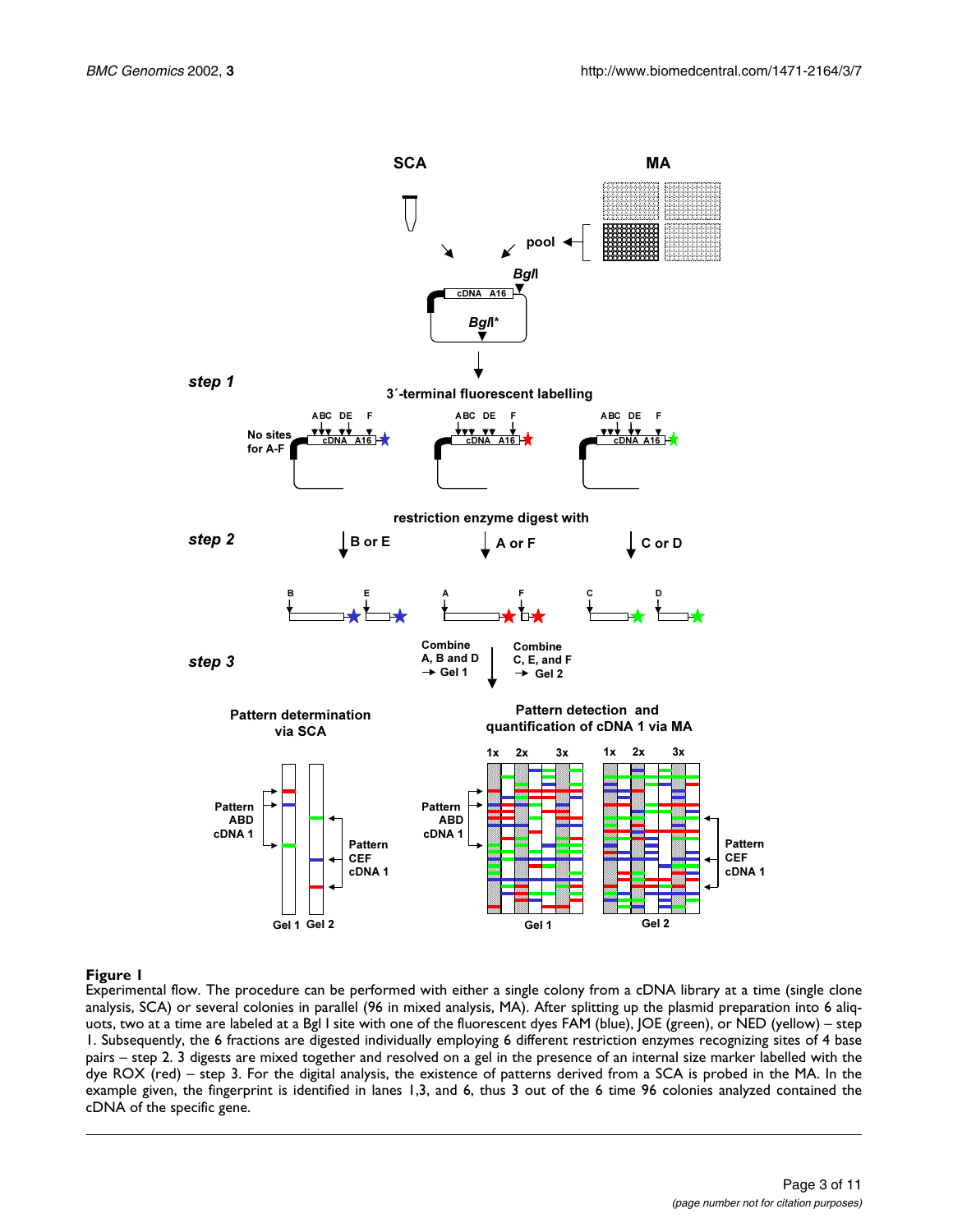

<span id="page-2-0"></span>Experimental flow. The procedure can be performed with either a single colony from a cDNA library at a time (single clone analysis, SCA) or several colonies in parallel (96 in mixed analysis, MA). After splitting up the plasmid preparation into 6 aliquots, two at a time are labeled at a Bgl I site with one of the fluorescent dyes FAM (blue), JOE (green), or NED (yellow) – step 1. Subsequently, the 6 fractions are digested individually employing 6 different restriction enzymes recognizing sites of 4 base pairs – step 2. 3 digests are mixed together and resolved on a gel in the presence of an internal size marker labelled with the dye ROX (red) – step 3. For the digital analysis, the existence of patterns derived from a SCA is probed in the MA. In the example given, the fingerprint is identified in lanes 1,3, and 6, thus 3 out of the 6 time 96 colonies analyzed contained the cDNA of the specific gene.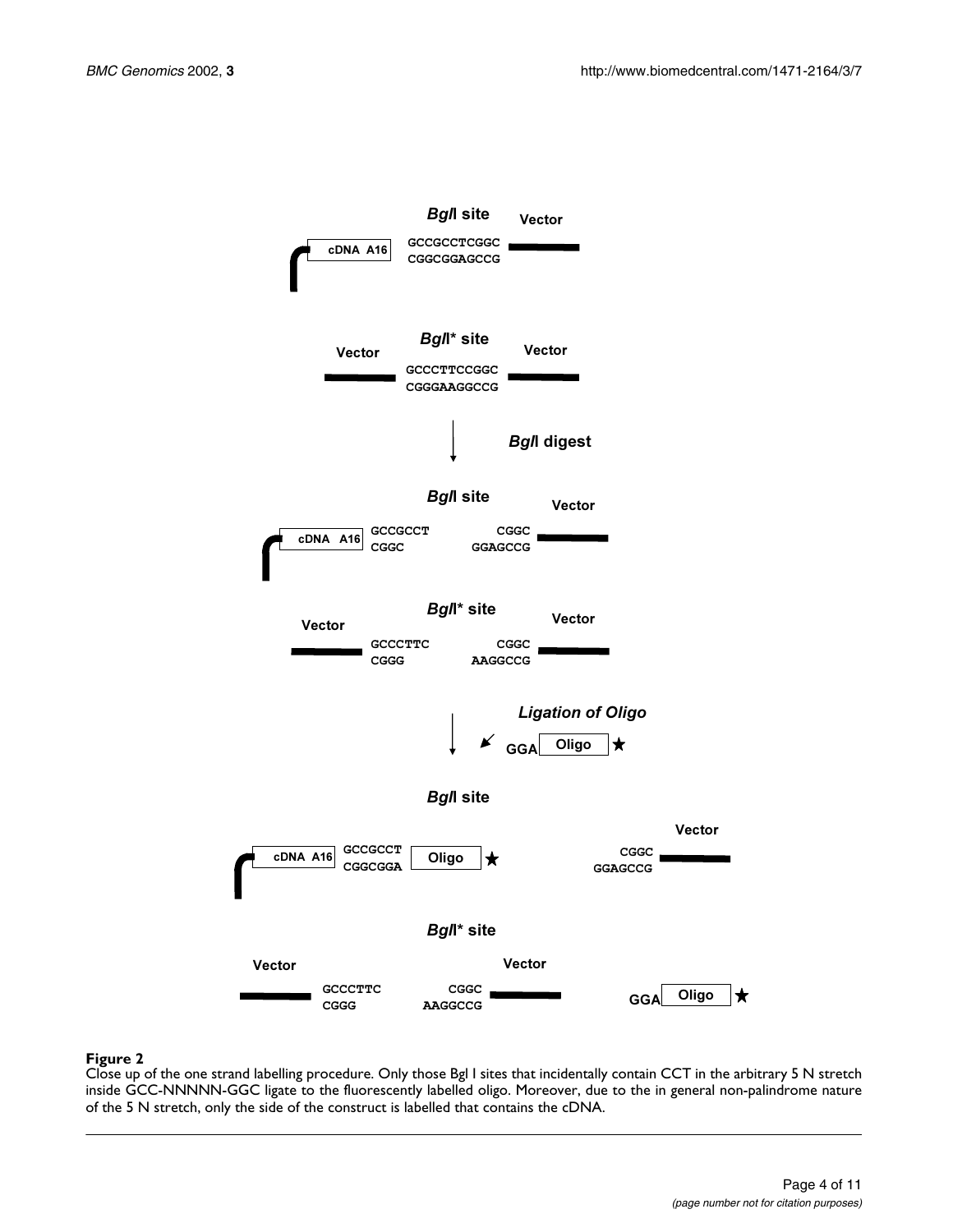

<span id="page-3-0"></span>Close up of the one strand labelling procedure. Only those Bgl I sites that incidentally contain CCT in the arbitrary 5 N stretch inside GCC-NNNNN-GGC ligate to the fluorescently labelled oligo. Moreover, due to the in general non-palindrome nature of the 5 N stretch, only the side of the construct is labelled that contains the cDNA.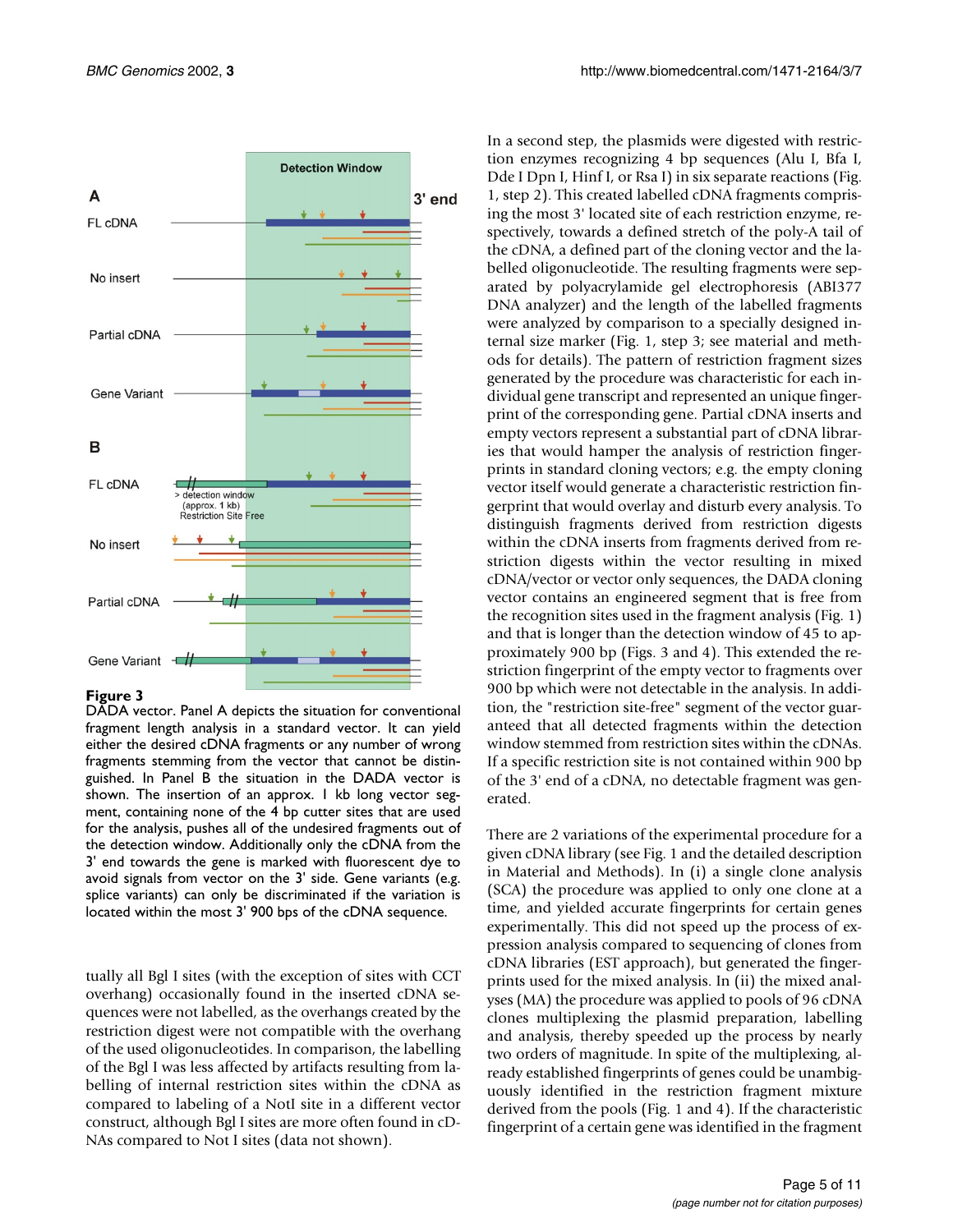<span id="page-4-0"></span>

DADA vector. Panel A depicts the situation for conventional fragment length analysis in a standard vector. It can yield either the desired cDNA fragments or any number of wrong fragments stemming from the vector that cannot be distinguished. In Panel B the situation in the DADA vector is shown. The insertion of an approx. 1 kb long vector segment, containing none of the 4 bp cutter sites that are used for the analysis, pushes all of the undesired fragments out of the detection window. Additionally only the cDNA from the 3' end towards the gene is marked with fluorescent dye to avoid signals from vector on the 3' side. Gene variants (e.g. splice variants) can only be discriminated if the variation is located within the most 3' 900 bps of the cDNA sequence.

tually all Bgl I sites (with the exception of sites with CCT overhang) occasionally found in the inserted cDNA sequences were not labelled, as the overhangs created by the restriction digest were not compatible with the overhang of the used oligonucleotides. In comparison, the labelling of the Bgl I was less affected by artifacts resulting from labelling of internal restriction sites within the cDNA as compared to labeling of a NotI site in a different vector construct, although Bgl I sites are more often found in cD-NAs compared to Not I sites (data not shown).

In a second step, the plasmids were digested with restriction enzymes recognizing 4 bp sequences (Alu I, Bfa I, Dde I Dpn I, Hinf I, or Rsa I) in six separate reactions (Fig. [1,](#page-2-0) step 2). This created labelled cDNA fragments comprising the most 3' located site of each restriction enzyme, respectively, towards a defined stretch of the poly-A tail of the cDNA, a defined part of the cloning vector and the labelled oligonucleotide. The resulting fragments were separated by polyacrylamide gel electrophoresis (ABI377 DNA analyzer) and the length of the labelled fragments were analyzed by comparison to a specially designed internal size marker (Fig. [1](#page-2-0), step 3; see material and methods for details). The pattern of restriction fragment sizes generated by the procedure was characteristic for each individual gene transcript and represented an unique fingerprint of the corresponding gene. Partial cDNA inserts and empty vectors represent a substantial part of cDNA libraries that would hamper the analysis of restriction fingerprints in standard cloning vectors; e.g. the empty cloning vector itself would generate a characteristic restriction fingerprint that would overlay and disturb every analysis. To distinguish fragments derived from restriction digests within the cDNA inserts from fragments derived from restriction digests within the vector resulting in mixed cDNA/vector or vector only sequences, the DADA cloning vector contains an engineered segment that is free from the recognition sites used in the fragment analysis (Fig. [1](#page-2-0)) and that is longer than the detection window of 45 to approximately 900 bp (Figs. [3](#page-4-0) and [4\)](#page-5-0). This extended the restriction fingerprint of the empty vector to fragments over 900 bp which were not detectable in the analysis. In addition, the "restriction site-free" segment of the vector guaranteed that all detected fragments within the detection window stemmed from restriction sites within the cDNAs. If a specific restriction site is not contained within 900 bp of the 3' end of a cDNA, no detectable fragment was generated.

There are 2 variations of the experimental procedure for a given cDNA library (see Fig. [1](#page-2-0) and the detailed description in Material and Methods). In (i) a single clone analysis (SCA) the procedure was applied to only one clone at a time, and yielded accurate fingerprints for certain genes experimentally. This did not speed up the process of expression analysis compared to sequencing of clones from cDNA libraries (EST approach), but generated the fingerprints used for the mixed analysis. In (ii) the mixed analyses (MA) the procedure was applied to pools of 96 cDNA clones multiplexing the plasmid preparation, labelling and analysis, thereby speeded up the process by nearly two orders of magnitude. In spite of the multiplexing, already established fingerprints of genes could be unambiguously identified in the restriction fragment mixture derived from the pools (Fig. [1](#page-2-0) and [4\)](#page-5-0). If the characteristic fingerprint of a certain gene was identified in the fragment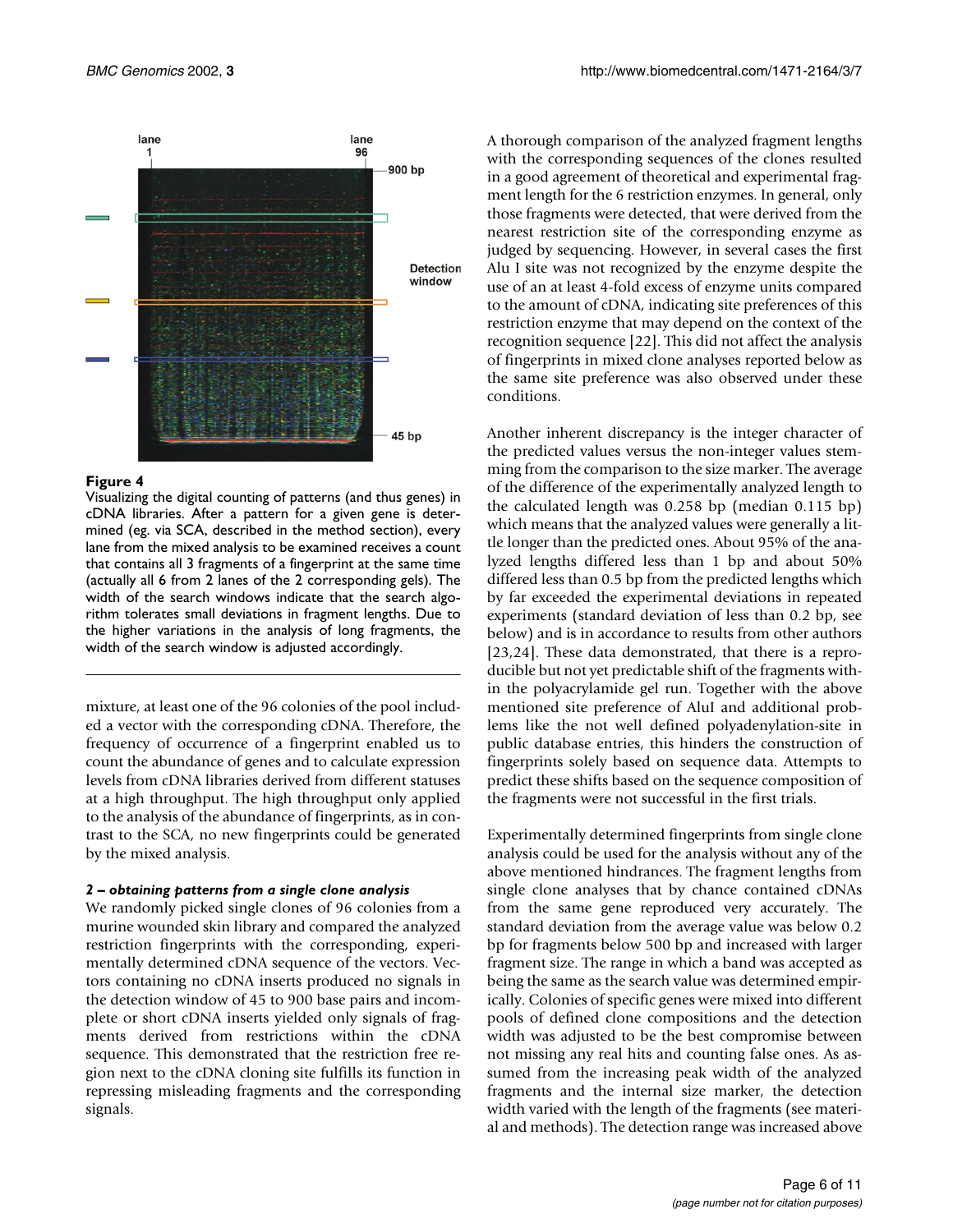

<span id="page-5-0"></span>Visualizing the digital counting of patterns (and thus genes) in cDNA libraries. After a pattern for a given gene is determined (eg. via SCA, described in the method section), every lane from the mixed analysis to be examined receives a count that contains all 3 fragments of a fingerprint at the same time (actually all 6 from 2 lanes of the 2 corresponding gels). The width of the search windows indicate that the search algorithm tolerates small deviations in fragment lengths. Due to the higher variations in the analysis of long fragments, the width of the search window is adjusted accordingly.

mixture, at least one of the 96 colonies of the pool included a vector with the corresponding cDNA. Therefore, the frequency of occurrence of a fingerprint enabled us to count the abundance of genes and to calculate expression levels from cDNA libraries derived from different statuses at a high throughput. The high throughput only applied to the analysis of the abundance of fingerprints, as in contrast to the SCA, no new fingerprints could be generated by the mixed analysis.

#### *2 – obtaining patterns from a single clone analysis*

We randomly picked single clones of 96 colonies from a murine wounded skin library and compared the analyzed restriction fingerprints with the corresponding, experimentally determined cDNA sequence of the vectors. Vectors containing no cDNA inserts produced no signals in the detection window of 45 to 900 base pairs and incomplete or short cDNA inserts yielded only signals of fragments derived from restrictions within the cDNA sequence. This demonstrated that the restriction free region next to the cDNA cloning site fulfills its function in repressing misleading fragments and the corresponding signals.

A thorough comparison of the analyzed fragment lengths with the corresponding sequences of the clones resulted in a good agreement of theoretical and experimental fragment length for the 6 restriction enzymes. In general, only those fragments were detected, that were derived from the nearest restriction site of the corresponding enzyme as judged by sequencing. However, in several cases the first Alu I site was not recognized by the enzyme despite the use of an at least 4-fold excess of enzyme units compared to the amount of cDNA, indicating site preferences of this restriction enzyme that may depend on the context of the recognition sequence [[22\]](#page-10-13). This did not affect the analysis of fingerprints in mixed clone analyses reported below as the same site preference was also observed under these conditions.

Another inherent discrepancy is the integer character of the predicted values versus the non-integer values stemming from the comparison to the size marker. The average of the difference of the experimentally analyzed length to the calculated length was 0.258 bp (median 0.115 bp) which means that the analyzed values were generally a little longer than the predicted ones. About 95% of the analyzed lengths differed less than 1 bp and about 50% differed less than 0.5 bp from the predicted lengths which by far exceeded the experimental deviations in repeated experiments (standard deviation of less than 0.2 bp, see below) and is in accordance to results from other authors [[23](#page-10-14),[24\]](#page-10-15). These data demonstrated, that there is a reproducible but not yet predictable shift of the fragments within the polyacrylamide gel run. Together with the above mentioned site preference of AluI and additional problems like the not well defined polyadenylation-site in public database entries, this hinders the construction of fingerprints solely based on sequence data. Attempts to predict these shifts based on the sequence composition of the fragments were not successful in the first trials.

<span id="page-5-1"></span>Experimentally determined fingerprints from single clone analysis could be used for the analysis without any of the above mentioned hindrances. The fragment lengths from single clone analyses that by chance contained cDNAs from the same gene reproduced very accurately. The standard deviation from the average value was below 0.2 bp for fragments below 500 bp and increased with larger fragment size. The range in which a band was accepted as being the same as the search value was determined empirically. Colonies of specific genes were mixed into different pools of defined clone compositions and the detection width was adjusted to be the best compromise between not missing any real hits and counting false ones. As assumed from the increasing peak width of the analyzed fragments and the internal size marker, the detection width varied with the length of the fragments (see material and methods). The detection range was increased above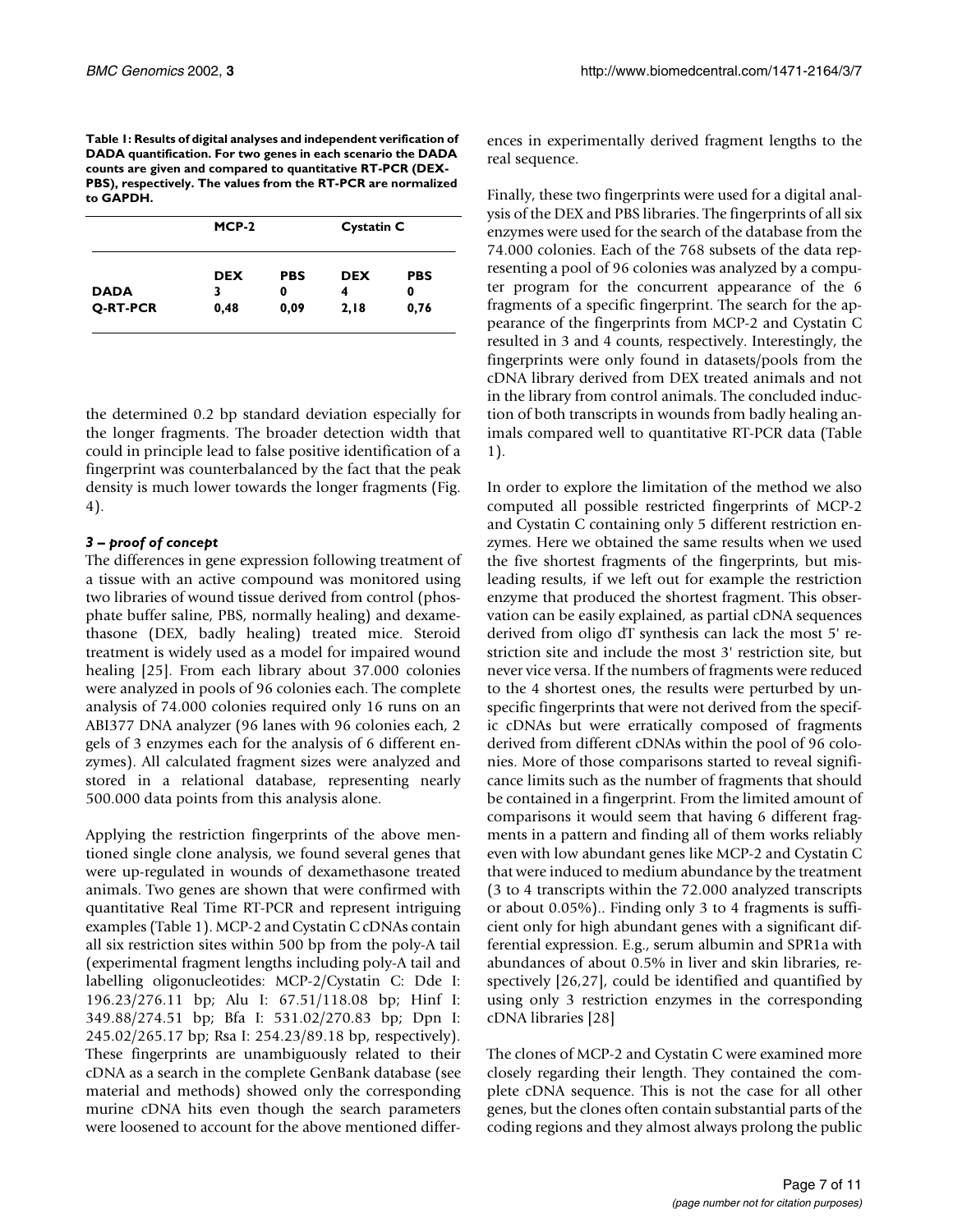**Table 1: Results of digital analyses and independent verification of DADA quantification. For two genes in each scenario the DADA counts are given and compared to quantitative RT-PCR (DEX-PBS), respectively. The values from the RT-PCR are normalized to GAPDH.**

|             | $MCP-2$    |            | <b>Cystatin C</b> |            |
|-------------|------------|------------|-------------------|------------|
|             | <b>DEX</b> | <b>PBS</b> | <b>DEX</b>        | <b>PBS</b> |
| <b>DADA</b> | 3          | 0          | 4                 | 0          |
| Q-RT-PCR    | 0,48       | 0,09       | 2,18              | 0,76       |

the determined 0.2 bp standard deviation especially for the longer fragments. The broader detection width that could in principle lead to false positive identification of a fingerprint was counterbalanced by the fact that the peak density is much lower towards the longer fragments (Fig. [4\)](#page-5-0).

## *3 – proof of concept*

The differences in gene expression following treatment of a tissue with an active compound was monitored using two libraries of wound tissue derived from control (phosphate buffer saline, PBS, normally healing) and dexamethasone (DEX, badly healing) treated mice. Steroid treatment is widely used as a model for impaired wound healing [\[25](#page-10-16)]. From each library about 37.000 colonies were analyzed in pools of 96 colonies each. The complete analysis of 74.000 colonies required only 16 runs on an ABI377 DNA analyzer (96 lanes with 96 colonies each, 2 gels of 3 enzymes each for the analysis of 6 different enzymes). All calculated fragment sizes were analyzed and stored in a relational database, representing nearly 500.000 data points from this analysis alone.

Applying the restriction fingerprints of the above mentioned single clone analysis, we found several genes that were up-regulated in wounds of dexamethasone treated animals. Two genes are shown that were confirmed with quantitative Real Time RT-PCR and represent intriguing examples (Table [1](#page-5-1)). MCP-2 and Cystatin C cDNAs contain all six restriction sites within 500 bp from the poly-A tail (experimental fragment lengths including poly-A tail and labelling oligonucleotides: MCP-2/Cystatin C: Dde I: 196.23/276.11 bp; Alu I: 67.51/118.08 bp; Hinf I: 349.88/274.51 bp; Bfa I: 531.02/270.83 bp; Dpn I: 245.02/265.17 bp; Rsa I: 254.23/89.18 bp, respectively). These fingerprints are unambiguously related to their cDNA as a search in the complete GenBank database (see material and methods) showed only the corresponding murine cDNA hits even though the search parameters were loosened to account for the above mentioned differences in experimentally derived fragment lengths to the real sequence.

Finally, these two fingerprints were used for a digital analysis of the DEX and PBS libraries. The fingerprints of all six enzymes were used for the search of the database from the 74.000 colonies. Each of the 768 subsets of the data representing a pool of 96 colonies was analyzed by a computer program for the concurrent appearance of the 6 fragments of a specific fingerprint. The search for the appearance of the fingerprints from MCP-2 and Cystatin C resulted in 3 and 4 counts, respectively. Interestingly, the fingerprints were only found in datasets/pools from the cDNA library derived from DEX treated animals and not in the library from control animals. The concluded induction of both transcripts in wounds from badly healing animals compared well to quantitative RT-PCR data (Table [1\)](#page-5-1).

In order to explore the limitation of the method we also computed all possible restricted fingerprints of MCP-2 and Cystatin C containing only 5 different restriction enzymes. Here we obtained the same results when we used the five shortest fragments of the fingerprints, but misleading results, if we left out for example the restriction enzyme that produced the shortest fragment. This observation can be easily explained, as partial cDNA sequences derived from oligo dT synthesis can lack the most 5' restriction site and include the most 3' restriction site, but never vice versa. If the numbers of fragments were reduced to the 4 shortest ones, the results were perturbed by unspecific fingerprints that were not derived from the specific cDNAs but were erratically composed of fragments derived from different cDNAs within the pool of 96 colonies. More of those comparisons started to reveal significance limits such as the number of fragments that should be contained in a fingerprint. From the limited amount of comparisons it would seem that having 6 different fragments in a pattern and finding all of them works reliably even with low abundant genes like MCP-2 and Cystatin C that were induced to medium abundance by the treatment (3 to 4 transcripts within the 72.000 analyzed transcripts or about 0.05%).. Finding only 3 to 4 fragments is sufficient only for high abundant genes with a significant differential expression. E.g., serum albumin and SPR1a with abundances of about 0.5% in liver and skin libraries, respectively [\[26](#page-10-17),[27\]](#page-10-18), could be identified and quantified by using only 3 restriction enzymes in the corresponding cDNA libraries [\[28\]](#page-10-19)

The clones of MCP-2 and Cystatin C were examined more closely regarding their length. They contained the complete cDNA sequence. This is not the case for all other genes, but the clones often contain substantial parts of the coding regions and they almost always prolong the public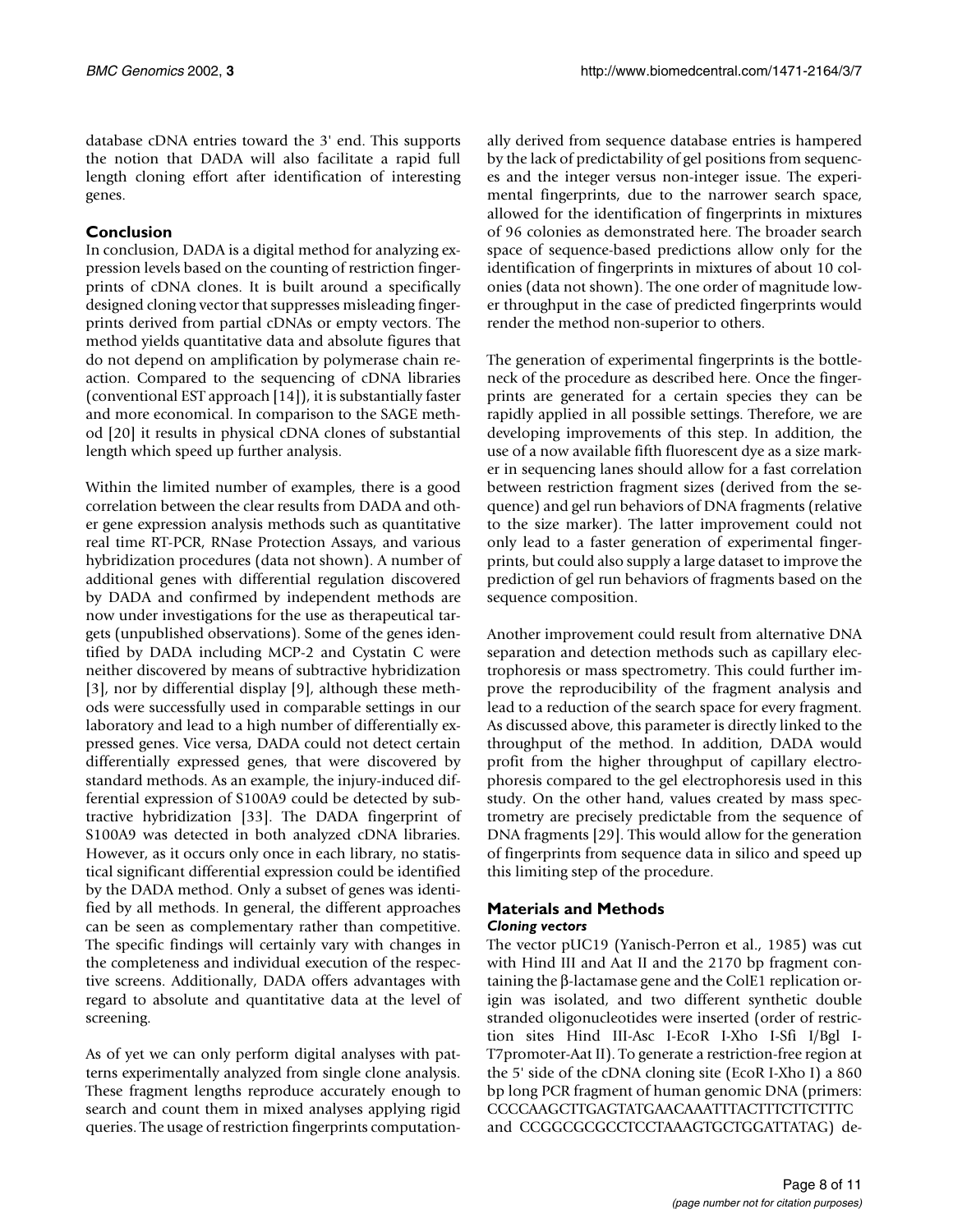database cDNA entries toward the 3' end. This supports the notion that DADA will also facilitate a rapid full length cloning effort after identification of interesting genes.

## **Conclusion**

In conclusion, DADA is a digital method for analyzing expression levels based on the counting of restriction fingerprints of cDNA clones. It is built around a specifically designed cloning vector that suppresses misleading fingerprints derived from partial cDNAs or empty vectors. The method yields quantitative data and absolute figures that do not depend on amplification by polymerase chain reaction. Compared to the sequencing of cDNA libraries (conventional EST approach [[14\]](#page-10-5)), it is substantially faster and more economical. In comparison to the SAGE method [[20\]](#page-10-11) it results in physical cDNA clones of substantial length which speed up further analysis.

Within the limited number of examples, there is a good correlation between the clear results from DADA and other gene expression analysis methods such as quantitative real time RT-PCR, RNase Protection Assays, and various hybridization procedures (data not shown). A number of additional genes with differential regulation discovered by DADA and confirmed by independent methods are now under investigations for the use as therapeutical targets (unpublished observations). Some of the genes identified by DADA including MCP-2 and Cystatin C were neither discovered by means of subtractive hybridization [[3\]](#page-10-20), nor by differential display [[9\]](#page-10-2), although these methods were successfully used in comparable settings in our laboratory and lead to a high number of differentially expressed genes. Vice versa, DADA could not detect certain differentially expressed genes, that were discovered by standard methods. As an example, the injury-induced differential expression of S100A9 could be detected by subtractive hybridization [\[33](#page-10-21)]. The DADA fingerprint of S100A9 was detected in both analyzed cDNA libraries. However, as it occurs only once in each library, no statistical significant differential expression could be identified by the DADA method. Only a subset of genes was identified by all methods. In general, the different approaches can be seen as complementary rather than competitive. The specific findings will certainly vary with changes in the completeness and individual execution of the respective screens. Additionally, DADA offers advantages with regard to absolute and quantitative data at the level of screening.

As of yet we can only perform digital analyses with patterns experimentally analyzed from single clone analysis. These fragment lengths reproduce accurately enough to search and count them in mixed analyses applying rigid queries. The usage of restriction fingerprints computationally derived from sequence database entries is hampered by the lack of predictability of gel positions from sequences and the integer versus non-integer issue. The experimental fingerprints, due to the narrower search space, allowed for the identification of fingerprints in mixtures of 96 colonies as demonstrated here. The broader search space of sequence-based predictions allow only for the identification of fingerprints in mixtures of about 10 colonies (data not shown). The one order of magnitude lower throughput in the case of predicted fingerprints would render the method non-superior to others.

The generation of experimental fingerprints is the bottleneck of the procedure as described here. Once the fingerprints are generated for a certain species they can be rapidly applied in all possible settings. Therefore, we are developing improvements of this step. In addition, the use of a now available fifth fluorescent dye as a size marker in sequencing lanes should allow for a fast correlation between restriction fragment sizes (derived from the sequence) and gel run behaviors of DNA fragments (relative to the size marker). The latter improvement could not only lead to a faster generation of experimental fingerprints, but could also supply a large dataset to improve the prediction of gel run behaviors of fragments based on the sequence composition.

Another improvement could result from alternative DNA separation and detection methods such as capillary electrophoresis or mass spectrometry. This could further improve the reproducibility of the fragment analysis and lead to a reduction of the search space for every fragment. As discussed above, this parameter is directly linked to the throughput of the method. In addition, DADA would profit from the higher throughput of capillary electrophoresis compared to the gel electrophoresis used in this study. On the other hand, values created by mass spectrometry are precisely predictable from the sequence of DNA fragments [\[29](#page-10-22)]. This would allow for the generation of fingerprints from sequence data in silico and speed up this limiting step of the procedure.

## **Materials and Methods**

#### *Cloning vectors*

The vector pUC19 (Yanisch-Perron et al., 1985) was cut with Hind III and Aat II and the 2170 bp fragment containing the β-lactamase gene and the ColE1 replication origin was isolated, and two different synthetic double stranded oligonucleotides were inserted (order of restriction sites Hind III-Asc I-EcoR I-Xho I-Sfi I/Bgl I-T7promoter-Aat II). To generate a restriction-free region at the 5' side of the cDNA cloning site (EcoR I-Xho I) a 860 bp long PCR fragment of human genomic DNA (primers: CCCCAAGCTTGAGTATGAACAAATTTACTTTCTTCTTTC and CCGGCGCGCCTCCTAAAGTGCTGGATTATAG) de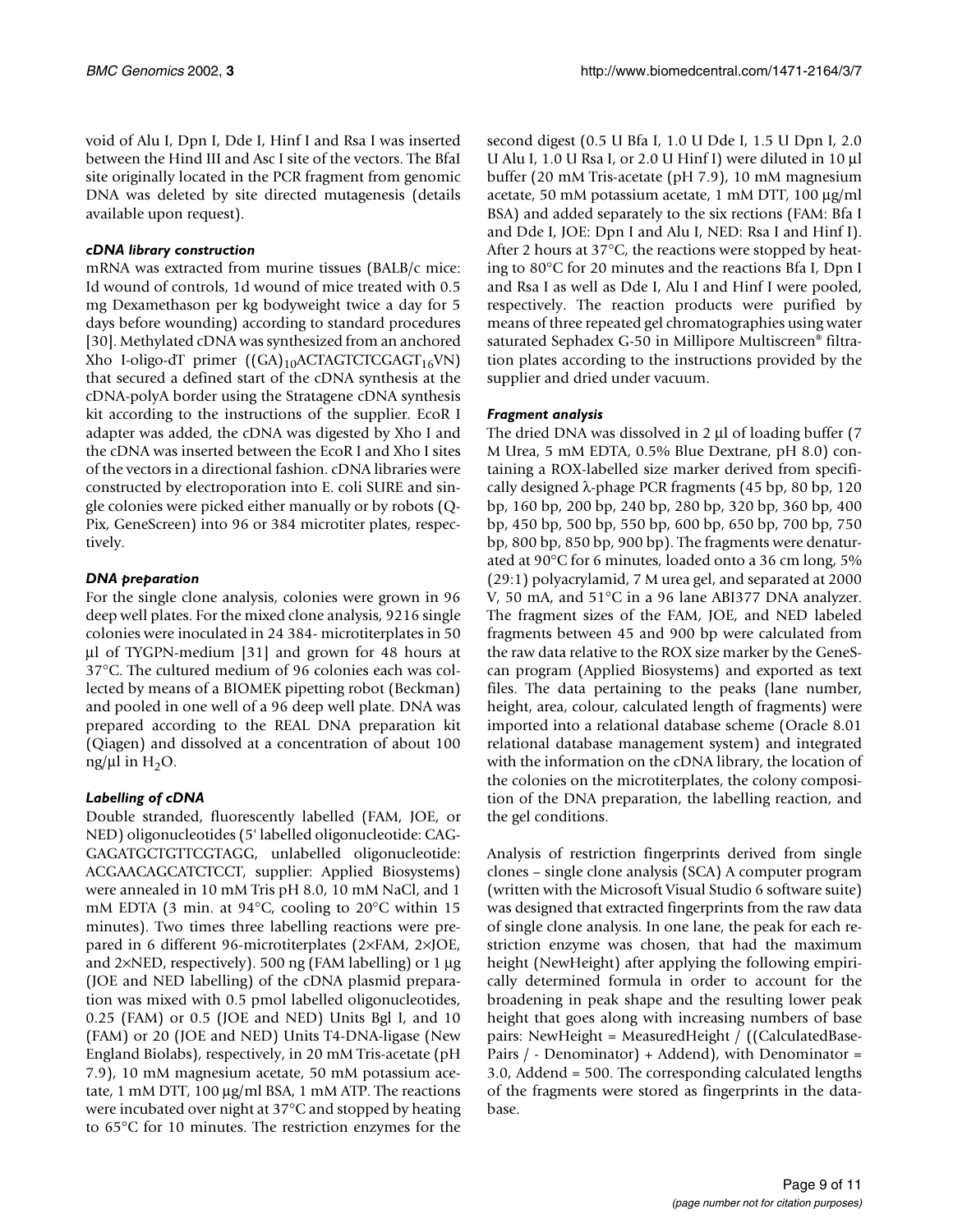void of Alu I, Dpn I, Dde I, Hinf I and Rsa I was inserted between the Hind III and Asc I site of the vectors. The BfaI site originally located in the PCR fragment from genomic DNA was deleted by site directed mutagenesis (details available upon request).

## *cDNA library construction*

mRNA was extracted from murine tissues (BALB/c mice: Id wound of controls, 1d wound of mice treated with 0.5 mg Dexamethason per kg bodyweight twice a day for 5 days before wounding) according to standard procedures [[30](#page-10-23)]. Methylated cDNA was synthesized from an anchored Xho I-oligo-dT primer  $((GA)_{10}$ ACTAGTCTCGAGT<sub>16</sub>VN) that secured a defined start of the cDNA synthesis at the cDNA-polyA border using the Stratagene cDNA synthesis kit according to the instructions of the supplier. EcoR I adapter was added, the cDNA was digested by Xho I and the cDNA was inserted between the EcoR I and Xho I sites of the vectors in a directional fashion. cDNA libraries were constructed by electroporation into E. coli SURE and single colonies were picked either manually or by robots (Q-Pix, GeneScreen) into 96 or 384 microtiter plates, respectively.

## *DNA preparation*

For the single clone analysis, colonies were grown in 96 deep well plates. For the mixed clone analysis, 9216 single colonies were inoculated in 24 384- microtiterplates in 50 µl of TYGPN-medium [[31](#page-10-24)] and grown for 48 hours at 37°C. The cultured medium of 96 colonies each was collected by means of a BIOMEK pipetting robot (Beckman) and pooled in one well of a 96 deep well plate. DNA was prepared according to the REAL DNA preparation kit (Qiagen) and dissolved at a concentration of about 100 ng/µl in  $H_2O$ .

## *Labelling of cDNA*

Double stranded, fluorescently labelled (FAM, JOE, or NED) oligonucleotides (5' labelled oligonucleotide: CAG-GAGATGCTGTTCGTAGG, unlabelled oligonucleotide: ACGAACAGCATCTCCT, supplier: Applied Biosystems) were annealed in 10 mM Tris pH 8.0, 10 mM NaCl, and 1 mM EDTA (3 min. at 94°C, cooling to 20°C within 15 minutes). Two times three labelling reactions were prepared in 6 different 96-microtiterplates (2×FAM, 2×JOE, and  $2\times$ NED, respectively). 500 ng (FAM labelling) or 1  $\mu$ g (JOE and NED labelling) of the cDNA plasmid preparation was mixed with 0.5 pmol labelled oligonucleotides, 0.25 (FAM) or 0.5 (JOE and NED) Units Bgl I, and 10 (FAM) or 20 (JOE and NED) Units T4-DNA-ligase (New England Biolabs), respectively, in 20 mM Tris-acetate (pH 7.9), 10 mM magnesium acetate, 50 mM potassium acetate, 1 mM DTT, 100 µg/ml BSA, 1 mM ATP. The reactions were incubated over night at 37°C and stopped by heating to 65°C for 10 minutes. The restriction enzymes for the second digest (0.5 U Bfa I, 1.0 U Dde I, 1.5 U Dpn I, 2.0 U Alu I, 1.0 U Rsa I, or 2.0 U Hinf I) were diluted in 10 µl buffer (20 mM Tris-acetate (pH 7.9), 10 mM magnesium acetate, 50 mM potassium acetate, 1 mM DTT, 100 µg/ml BSA) and added separately to the six rections (FAM: Bfa I and Dde I, JOE: Dpn I and Alu I, NED: Rsa I and Hinf I). After 2 hours at 37°C, the reactions were stopped by heating to 80°C for 20 minutes and the reactions Bfa I, Dpn I and Rsa I as well as Dde I, Alu I and Hinf I were pooled, respectively. The reaction products were purified by means of three repeated gel chromatographies using water saturated Sephadex G-50 in Millipore Multiscreen® filtration plates according to the instructions provided by the supplier and dried under vacuum.

## *Fragment analysis*

The dried DNA was dissolved in 2 µl of loading buffer (7) M Urea, 5 mM EDTA, 0.5% Blue Dextrane, pH 8.0) containing a ROX-labelled size marker derived from specifically designed λ-phage PCR fragments (45 bp, 80 bp, 120 bp, 160 bp, 200 bp, 240 bp, 280 bp, 320 bp, 360 bp, 400 bp, 450 bp, 500 bp, 550 bp, 600 bp, 650 bp, 700 bp, 750 bp, 800 bp, 850 bp, 900 bp). The fragments were denaturated at 90°C for 6 minutes, loaded onto a 36 cm long, 5% (29:1) polyacrylamid, 7 M urea gel, and separated at 2000 V, 50 mA, and 51°C in a 96 lane ABI377 DNA analyzer. The fragment sizes of the FAM, JOE, and NED labeled fragments between 45 and 900 bp were calculated from the raw data relative to the ROX size marker by the GeneScan program (Applied Biosystems) and exported as text files. The data pertaining to the peaks (lane number, height, area, colour, calculated length of fragments) were imported into a relational database scheme (Oracle 8.01 relational database management system) and integrated with the information on the cDNA library, the location of the colonies on the microtiterplates, the colony composition of the DNA preparation, the labelling reaction, and the gel conditions.

Analysis of restriction fingerprints derived from single clones – single clone analysis (SCA) A computer program (written with the Microsoft Visual Studio 6 software suite) was designed that extracted fingerprints from the raw data of single clone analysis. In one lane, the peak for each restriction enzyme was chosen, that had the maximum height (NewHeight) after applying the following empirically determined formula in order to account for the broadening in peak shape and the resulting lower peak height that goes along with increasing numbers of base pairs: NewHeight = MeasuredHeight / ((CalculatedBase-Pairs / - Denominator) + Addend), with Denominator = 3.0, Addend = 500. The corresponding calculated lengths of the fragments were stored as fingerprints in the database.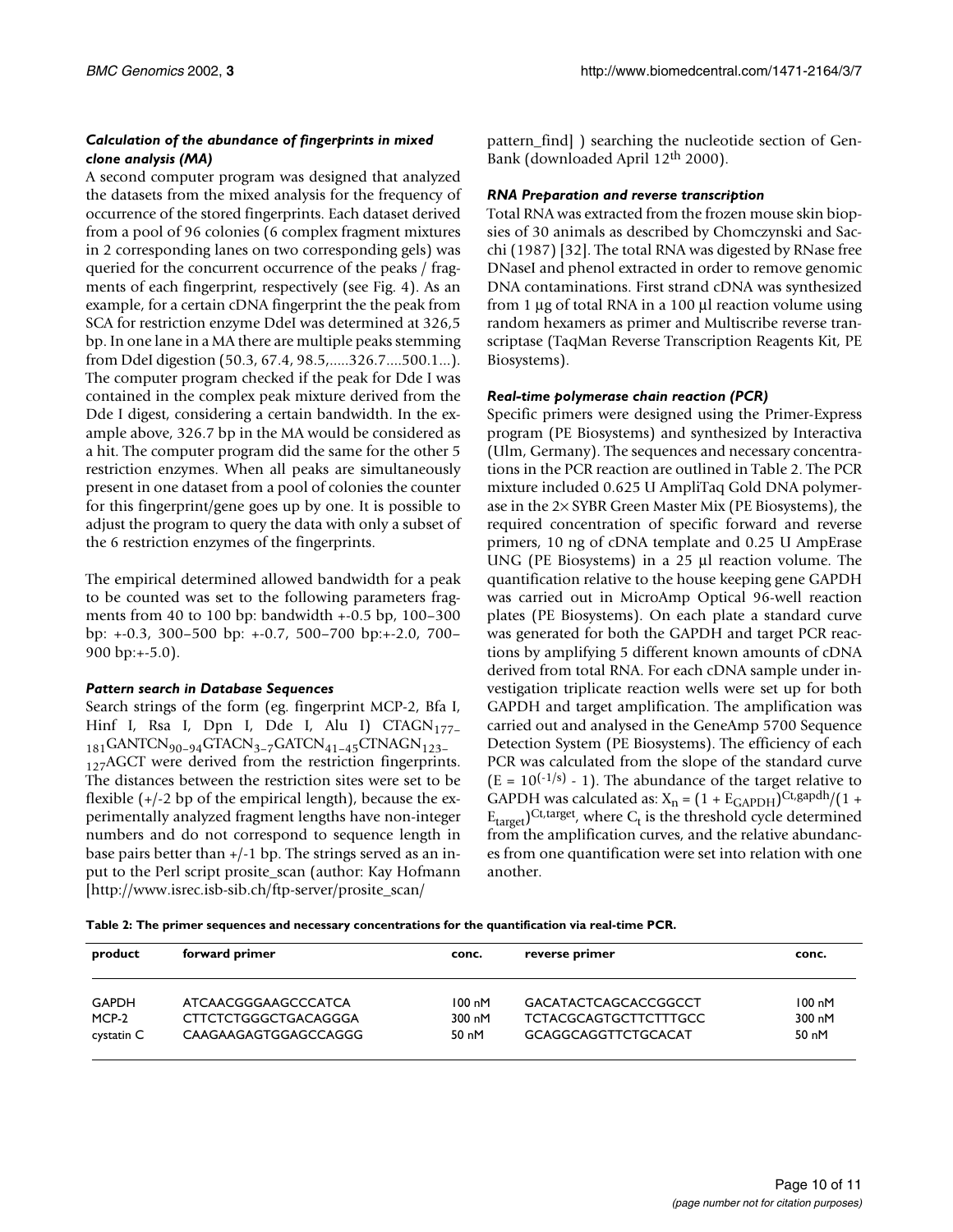## *Calculation of the abundance of fingerprints in mixed clone analysis (MA)*

A second computer program was designed that analyzed the datasets from the mixed analysis for the frequency of occurrence of the stored fingerprints. Each dataset derived from a pool of 96 colonies (6 complex fragment mixtures in 2 corresponding lanes on two corresponding gels) was queried for the concurrent occurrence of the peaks / fragments of each fingerprint, respectively (see Fig. [4](#page-5-0)). As an example, for a certain cDNA fingerprint the the peak from SCA for restriction enzyme DdeI was determined at 326,5 bp. In one lane in a MA there are multiple peaks stemming from DdeI digestion (50.3, 67.4, 98.5,.....326.7....500.1...). The computer program checked if the peak for Dde I was contained in the complex peak mixture derived from the Dde I digest, considering a certain bandwidth. In the example above, 326.7 bp in the MA would be considered as a hit. The computer program did the same for the other 5 restriction enzymes. When all peaks are simultaneously present in one dataset from a pool of colonies the counter for this fingerprint/gene goes up by one. It is possible to adjust the program to query the data with only a subset of the 6 restriction enzymes of the fingerprints.

The empirical determined allowed bandwidth for a peak to be counted was set to the following parameters fragments from 40 to 100 bp: bandwidth +-0.5 bp, 100–300 bp: +-0.3, 300–500 bp: +-0.7, 500–700 bp:+-2.0, 700– 900 bp:+-5.0).

#### *Pattern search in Database Sequences*

Search strings of the form (eg. fingerprint MCP-2, Bfa I, Hinf I, Rsa I, Dpn I, Dde I, Alu I) CTAGN<sub>177</sub>  $_{181}$ GANTCN<sub>90–94</sub>GTACN<sub>3–7</sub>GATCN<sub>41–45</sub>CTNAGN<sub>123–</sub> 12[7AGCT were derived from the restriction fingerprints.](http://www.isrec.isb-sib.ch/ftp-server/prosite_scan/pattern_find) The distances between the restriction sites were set to be flexible  $(+/-2$  bp of the empirical length), because the experimentally analyzed fragment lengths have non-integer numbers and do not correspond to sequence length in base pairs better than +/-1 bp. The strings served as an input to the Perl script prosite\_scan (author: Kay Hofmann [http://www.isrec.isb-sib.ch/ftp-server/prosite\_scan/

[pattern\\_find\] \) searching the nucleotide section of Gen-](http://www.isrec.isb-sib.ch/ftp-server/prosite_scan/pattern_find)[Bank \(downloaded April 12t](http://www.isrec.isb-sib.ch/ftp-server/prosite_scan/pattern_find)h 2000).

#### *RNA Preparation and reverse transcription*

Total RNA was extracted from the frozen mouse skin biopsies of 30 animals as described by Chomczynski and Sacchi (1987) [\[32\]](#page-10-25). The total RNA was digested by RNase free DNaseI and phenol extracted in order to remove genomic DNA contaminations. First strand cDNA was synthesized from 1 µg of total RNA in a 100 µl reaction volume using random hexamers as primer and Multiscribe reverse transcriptase (TaqMan Reverse Transcription Reagents Kit, PE Biosystems).

## *Real-time polymerase chain reaction (PCR)*

<span id="page-9-0"></span>Specific primers were designed using the Primer-Express program (PE Biosystems) and synthesized by Interactiva (Ulm, Germany). The sequences and necessary concentrations in the PCR reaction are outlined in Table [2](#page-9-0). The PCR mixture included 0.625 U AmpliTaq Gold DNA polymerase in the 2× SYBR Green Master Mix (PE Biosystems), the required concentration of specific forward and reverse primers, 10 ng of cDNA template and 0.25 U AmpErase UNG (PE Biosystems) in a 25 µl reaction volume. The quantification relative to the house keeping gene GAPDH was carried out in MicroAmp Optical 96-well reaction plates (PE Biosystems). On each plate a standard curve was generated for both the GAPDH and target PCR reactions by amplifying 5 different known amounts of cDNA derived from total RNA. For each cDNA sample under investigation triplicate reaction wells were set up for both GAPDH and target amplification. The amplification was carried out and analysed in the GeneAmp 5700 Sequence Detection System (PE Biosystems). The efficiency of each PCR was calculated from the slope of the standard curve  $(E = 10^{(-1/s)} - 1)$ . The abundance of the target relative to GAPDH was calculated as:  $X_n = (1 + E_{\text{GAPDH}})^{\text{Ct,gapdh}}/(1 +$  $E_{target}$ )Ct, target, where  $C_t$  is the threshold cycle determined from the amplification curves, and the relative abundances from one quantification were set into relation with one another.

**Table 2: The primer sequences and necessary concentrations for the quantification via real-time PCR.**

| product      | forward primer              | conc.  | reverse primer        | conc.  |
|--------------|-----------------------------|--------|-----------------------|--------|
| <b>GAPDH</b> | ATCAACGGGAAGCCCATCA         | 100 nM | GACATACTCAGCACCGGCCT  | 100 nM |
| MCP-2        | <b>CTTCTCTGGGCTGACAGGGA</b> | 300 nM | TCTACGCAGTGCTTCTTTGCC | 300 nM |
| cystatin C   | CAAGAAGAGTGGAGCCAGGG        | 50 nM  | GCAGGCAGGTTCTGCACAT   | 50 nM  |
|              |                             |        |                       |        |